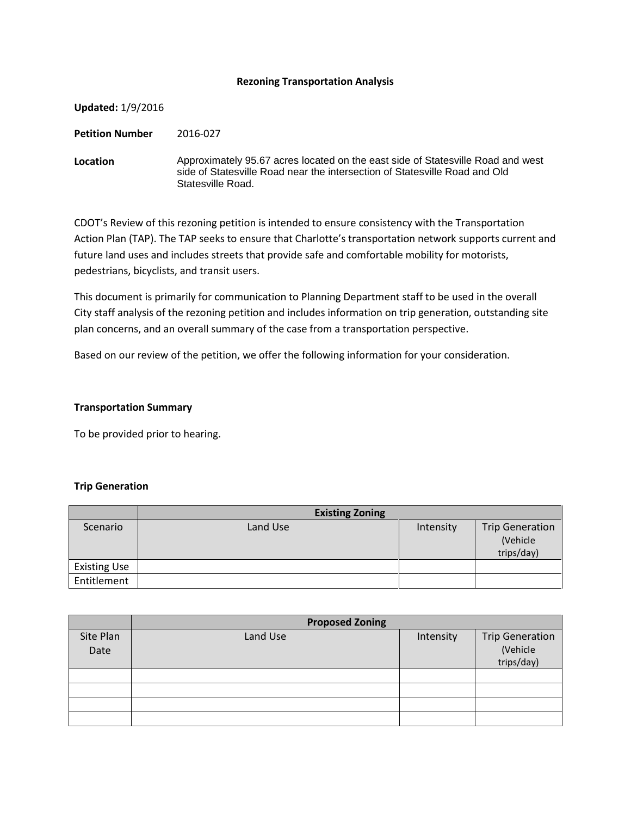### **Rezoning Transportation Analysis**

| <b>Updated: 1/9/2016</b> |                                                                                                                                                                                    |
|--------------------------|------------------------------------------------------------------------------------------------------------------------------------------------------------------------------------|
| <b>Petition Number</b>   | 2016-027                                                                                                                                                                           |
| Location                 | Approximately 95.67 acres located on the east side of Statesville Road and west<br>side of Statesville Road near the intersection of Statesville Road and Old<br>Statesville Road. |

CDOT's Review of this rezoning petition is intended to ensure consistency with the Transportation Action Plan (TAP). The TAP seeks to ensure that Charlotte's transportation network supports current and future land uses and includes streets that provide safe and comfortable mobility for motorists, pedestrians, bicyclists, and transit users.

This document is primarily for communication to Planning Department staff to be used in the overall City staff analysis of the rezoning petition and includes information on trip generation, outstanding site plan concerns, and an overall summary of the case from a transportation perspective.

Based on our review of the petition, we offer the following information for your consideration.

### **Transportation Summary**

To be provided prior to hearing.

### **Trip Generation**

|                     | <b>Existing Zoning</b> |           |                                                  |
|---------------------|------------------------|-----------|--------------------------------------------------|
| Scenario            | Land Use               | Intensity | <b>Trip Generation</b><br>(Vehicle<br>trips/day) |
| <b>Existing Use</b> |                        |           |                                                  |
| Entitlement         |                        |           |                                                  |

|                   | <b>Proposed Zoning</b> |           |                                                  |  |
|-------------------|------------------------|-----------|--------------------------------------------------|--|
| Site Plan<br>Date | Land Use               | Intensity | <b>Trip Generation</b><br>(Vehicle<br>trips/day) |  |
|                   |                        |           |                                                  |  |
|                   |                        |           |                                                  |  |
|                   |                        |           |                                                  |  |
|                   |                        |           |                                                  |  |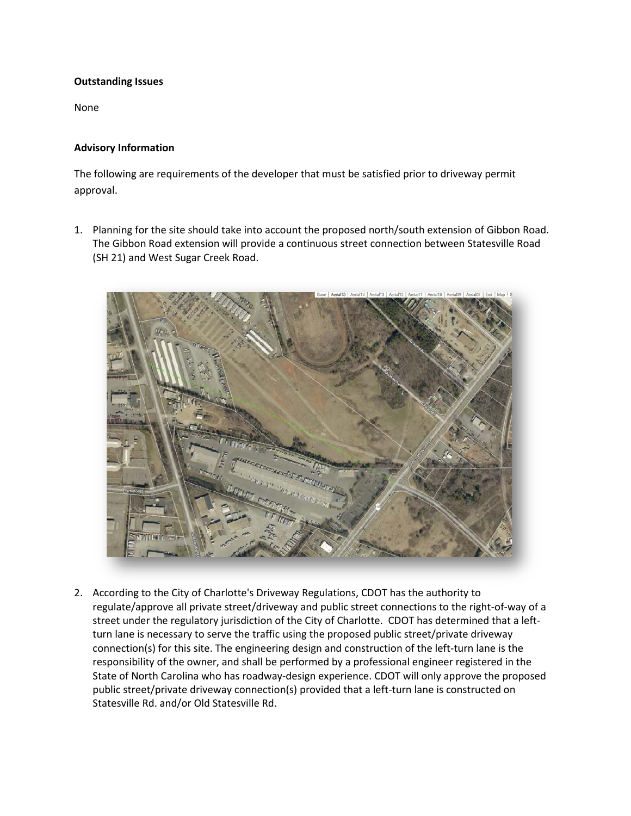# **Outstanding Issues**

None

# **Advisory Information**

The following are requirements of the developer that must be satisfied prior to driveway permit approval.

1. Planning for the site should take into account the proposed north/south extension of Gibbon Road. The Gibbon Road extension will provide a continuous street connection between Statesville Road (SH 21) and West Sugar Creek Road.



2. According to the City of Charlotte's Driveway Regulations, CDOT has the authority to regulate/approve all private street/driveway and public street connections to the right-of-way of a street under the regulatory jurisdiction of the City of Charlotte. CDOT has determined that a leftturn lane is necessary to serve the traffic using the proposed public street/private driveway connection(s) for this site. The engineering design and construction of the left-turn lane is the responsibility of the owner, and shall be performed by a professional engineer registered in the State of North Carolina who has roadway-design experience. CDOT will only approve the proposed public street/private driveway connection(s) provided that a left-turn lane is constructed on Statesville Rd. and/or Old Statesville Rd.